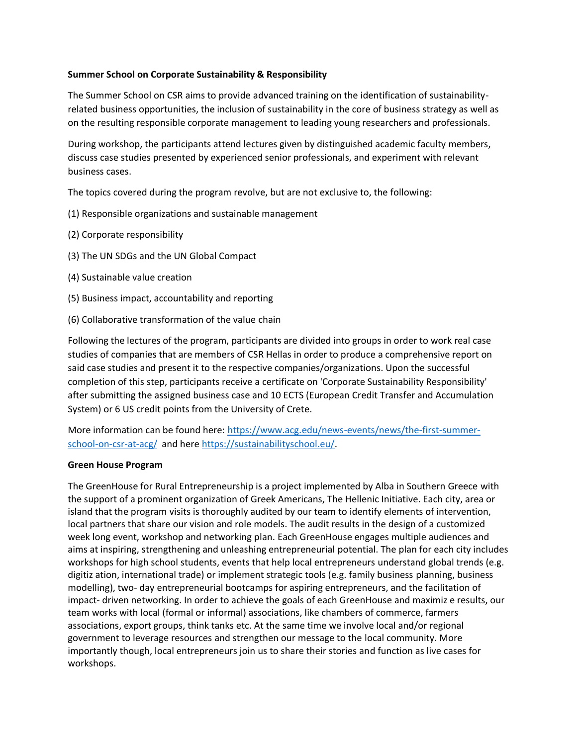### **Summer School on Corporate Sustainability & Responsibility**

The Summer School on CSR aims to provide advanced training on the identification of sustainabilityrelated business opportunities, the inclusion of sustainability in the core of business strategy as well as on the resulting responsible corporate management to leading young researchers and professionals.

During workshop, the participants attend lectures given by distinguished academic faculty members, discuss case studies presented by experienced senior professionals, and experiment with relevant business cases.

The topics covered during the program revolve, but are not exclusive to, the following:

- (1) Responsible organizations and sustainable management
- (2) Corporate responsibility
- (3) The UN SDGs and the UN Global Compact
- (4) Sustainable value creation
- (5) Business impact, accountability and reporting
- (6) Collaborative transformation of the value chain

Following the lectures of the program, participants are divided into groups in order to work real case studies of companies that are members of CSR Hellas in order to produce a comprehensive report on said case studies and present it to the respective companies/organizations. Upon the successful completion of this step, participants receive a certificate on 'Corporate Sustainability Responsibility' after submitting the assigned business case and 10 ECTS (European Credit Transfer and Accumulation System) or 6 US credit points from the University of Crete.

More information can be found here: [https://www.acg.edu/news-events/news/the-first-summer](https://www.acg.edu/news-events/news/the-first-summer-school-on-csr-at-acg/)[school-on-csr-at-acg/](https://www.acg.edu/news-events/news/the-first-summer-school-on-csr-at-acg/) and here [https://sustainabilityschool.eu/.](https://sustainabilityschool.eu/)

### **Green House Program**

The GreenHouse for Rural Entrepreneurship is a project implemented by Alba in Southern Greece with the support of a prominent organization of Greek Americans, The Hellenic Initiative. Each city, area or island that the program visits is thoroughly audited by our team to identify elements of intervention, local partners that share our vision and role models. The audit results in the design of a customized week long event, workshop and networking plan. Each GreenHouse engages multiple audiences and aims at inspiring, strengthening and unleashing entrepreneurial potential. The plan for each city includes workshops for high school students, events that help local entrepreneurs understand global trends (e.g. digitiz ation, international trade) or implement strategic tools (e.g. family business planning, business modelling), two- day entrepreneurial bootcamps for aspiring entrepreneurs, and the facilitation of impact- driven networking. In order to achieve the goals of each GreenHouse and maximiz e results, our team works with local (formal or informal) associations, like chambers of commerce, farmers associations, export groups, think tanks etc. At the same time we involve local and/or regional government to leverage resources and strengthen our message to the local community. More importantly though, local entrepreneurs join us to share their stories and function as live cases for workshops.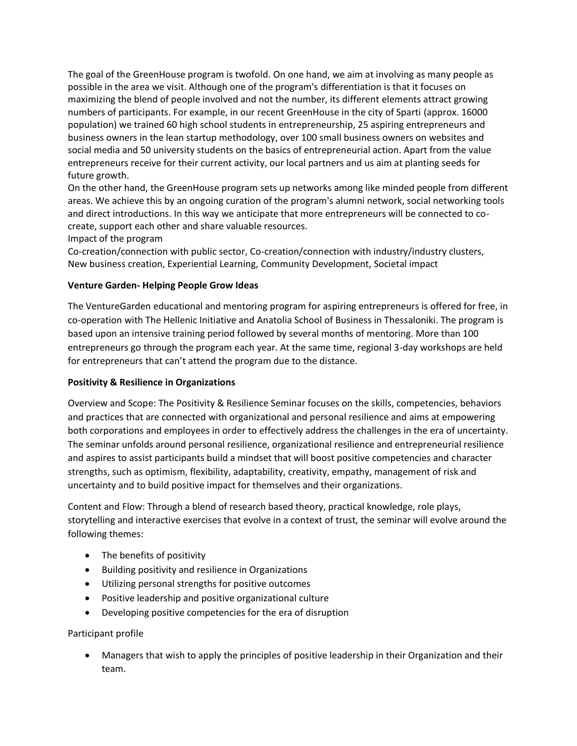The goal of the GreenHouse program is twofold. On one hand, we aim at involving as many people as possible in the area we visit. Although one of the program's differentiation is that it focuses on maximizing the blend of people involved and not the number, its different elements attract growing numbers of participants. For example, in our recent GreenHouse in the city of Sparti (approx. 16000 population) we trained 60 high school students in entrepreneurship, 25 aspiring entrepreneurs and business owners in the lean startup methodology, over 100 small business owners on websites and social media and 50 university students on the basics of entrepreneurial action. Apart from the value entrepreneurs receive for their current activity, our local partners and us aim at planting seeds for future growth.

On the other hand, the GreenHouse program sets up networks among like minded people from different areas. We achieve this by an ongoing curation of the program's alumni network, social networking tools and direct introductions. In this way we anticipate that more entrepreneurs will be connected to cocreate, support each other and share valuable resources.

Impact of the program

Co-creation/connection with public sector, Co-creation/connection with industry/industry clusters, New business creation, Experiential Learning, Community Development, Societal impact

### **Venture Garden- Helping People Grow Ideas**

The VentureGarden educational and mentoring program for aspiring entrepreneurs is offered for free, in co-operation with The Hellenic Initiative and Anatolia School of Business in Thessaloniki. The program is based upon an intensive training period followed by several months of mentoring. More than 100 entrepreneurs go through the program each year. At the same time, regional 3-day workshops are held for entrepreneurs that can't attend the program due to the distance.

### **Positivity & Resilience in Organizations**

Overview and Scope: The Positivity & Resilience Seminar focuses on the skills, competencies, behaviors and practices that are connected with organizational and personal resilience and aims at empowering both corporations and employees in order to effectively address the challenges in the era of uncertainty. The seminar unfolds around personal resilience, organizational resilience and entrepreneurial resilience and aspires to assist participants build a mindset that will boost positive competencies and character strengths, such as optimism, flexibility, adaptability, creativity, empathy, management of risk and uncertainty and to build positive impact for themselves and their organizations.

Content and Flow: Through a blend of research based theory, practical knowledge, role plays, storytelling and interactive exercises that evolve in a context of trust, the seminar will evolve around the following themes:

- The benefits of positivity
- Building positivity and resilience in Organizations
- Utilizing personal strengths for positive outcomes
- Positive leadership and positive organizational culture
- Developing positive competencies for the era of disruption

# Participant profile

 Managers that wish to apply the principles of positive leadership in their Organization and their team.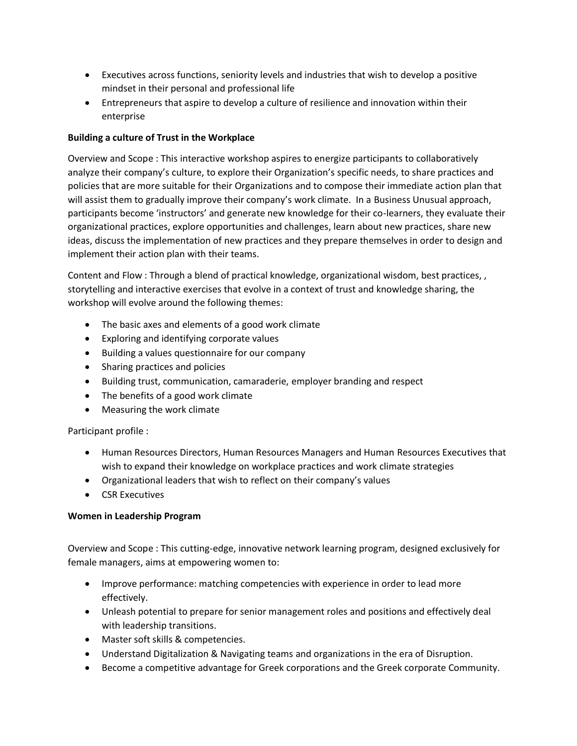- Εxecutives across functions, seniority levels and industries that wish to develop a positive mindset in their personal and professional life
- Entrepreneurs that aspire to develop a culture of resilience and innovation within their enterprise

# **Building a culture of Trust in the Workplace**

Overview and Scope : This interactive workshop aspires to energize participants to collaboratively analyze their company's culture, to explore their Organization's specific needs, to share practices and policies that are more suitable for their Organizations and to compose their immediate action plan that will assist them to gradually improve their company's work climate. In a Business Unusual approach, participants become 'instructors' and generate new knowledge for their co-learners, they evaluate their organizational practices, explore opportunities and challenges, learn about new practices, share new ideas, discuss the implementation of new practices and they prepare themselves in order to design and implement their action plan with their teams.

Content and Flow : Through a blend of practical knowledge, organizational wisdom, best practices, , storytelling and interactive exercises that evolve in a context of trust and knowledge sharing, the workshop will evolve around the following themes:

- The basic axes and elements of a good work climate
- Exploring and identifying corporate values
- Building a values questionnaire for our company
- Sharing practices and policies
- Building trust, communication, camaraderie, employer branding and respect
- The benefits of a good work climate
- Measuring the work climate

Participant profile :

- Human Resources Directors, Human Resources Managers and Human Resources Executives that wish to expand their knowledge on workplace practices and work climate strategies
- Organizational leaders that wish to reflect on their company's values
- **•** CSR Executives

### **Women in Leadership Program**

Overview and Scope : This cutting-edge, innovative network learning program, designed exclusively for female managers, aims at empowering women to:

- Improve performance: matching competencies with experience in order to lead more effectively.
- Unleash potential to prepare for senior management roles and positions and effectively deal with leadership transitions.
- Master soft skills & competencies.
- Understand Digitalization & Navigating teams and organizations in the era of Disruption.
- Become a competitive advantage for Greek corporations and the Greek corporate Community.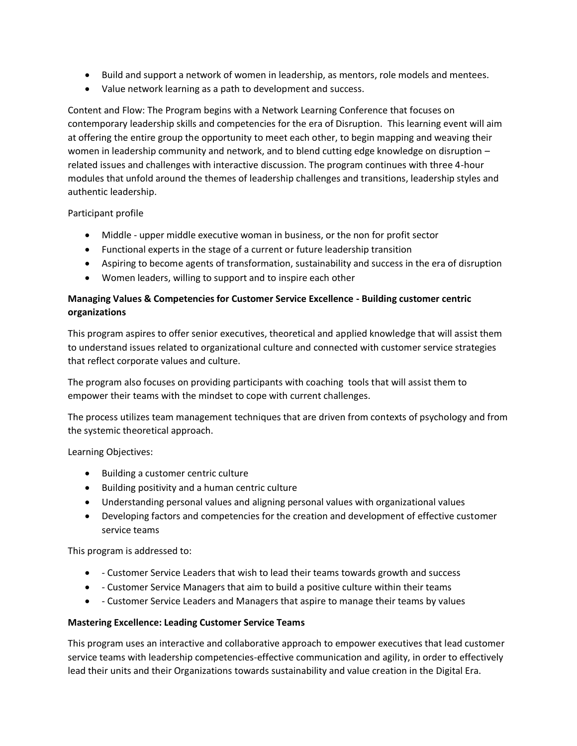- Build and support a network of women in leadership, as mentors, role models and mentees.
- Value network learning as a path to development and success.

Content and Flow: The Program begins with a Network Learning Conference that focuses on contemporary leadership skills and competencies for the era of Disruption. This learning event will aim at offering the entire group the opportunity to meet each other, to begin mapping and weaving their women in leadership community and network, and to blend cutting edge knowledge on disruption – related issues and challenges with interactive discussion. The program continues with three 4-hour modules that unfold around the themes of leadership challenges and transitions, leadership styles and authentic leadership.

#### Participant profile

- Middle upper middle executive woman in business, or the non for profit sector
- Functional experts in the stage of a current or future leadership transition
- Aspiring to become agents of transformation, sustainability and success in the era of disruption
- Women leaders, willing to support and to inspire each other

# **Managing Values & Competencies for Customer Service Excellence - Building customer centric organizations**

This program aspires to offer senior executives, theoretical and applied knowledge that will assist them to understand issues related to organizational culture and connected with customer service strategies that reflect corporate values and culture.

The program also focuses on providing participants with coaching tools that will assist them to empower their teams with the mindset to cope with current challenges.

The process utilizes team management techniques that are driven from contexts of psychology and from the systemic theoretical approach.

Learning Objectives:

- Building a customer centric culture
- Building positivity and a human centric culture
- Understanding personal values and aligning personal values with organizational values
- Developing factors and competencies for the creation and development of effective customer service teams

This program is addressed to:

- Customer Service Leaders that wish to lead their teams towards growth and success
- Customer Service Managers that aim to build a positive culture within their teams
- Customer Service Leaders and Managers that aspire to manage their teams by values

#### **Mastering Excellence: Leading Customer Service Teams**

This program uses an interactive and collaborative approach to empower executives that lead customer service teams with leadership competencies-effective communication and agility, in order to effectively lead their units and their Organizations towards sustainability and value creation in the Digital Era.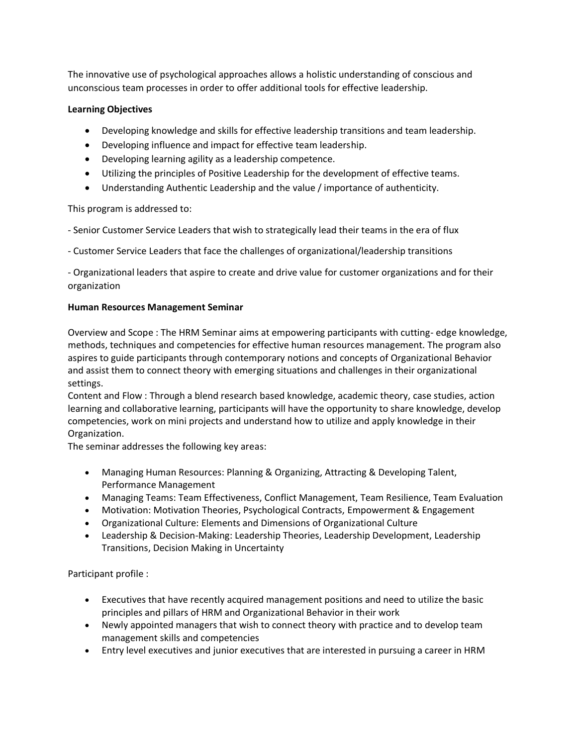The innovative use of psychological approaches allows a holistic understanding of conscious and unconscious team processes in order to offer additional tools for effective leadership.

### **Learning Objectives**

- Developing knowledge and skills for effective leadership transitions and team leadership.
- Developing influence and impact for effective team leadership.
- Developing learning agility as a leadership competence.
- Utilizing the principles of Positive Leadership for the development of effective teams.
- Understanding Authentic Leadership and the value / importance of authenticity.

This program is addressed to:

- Senior Customer Service Leaders that wish to strategically lead their teams in the era of flux

- Customer Service Leaders that face the challenges of organizational/leadership transitions

- Organizational leaders that aspire to create and drive value for customer organizations and for their organization

### **Human Resources Management Seminar**

Overview and Scope : The HRM Seminar aims at empowering participants with cutting- edge knowledge, methods, techniques and competencies for effective human resources management. The program also aspires to guide participants through contemporary notions and concepts of Organizational Behavior and assist them to connect theory with emerging situations and challenges in their organizational settings.

Content and Flow : Through a blend research based knowledge, academic theory, case studies, action learning and collaborative learning, participants will have the opportunity to share knowledge, develop competencies, work on mini projects and understand how to utilize and apply knowledge in their Organization.

The seminar addresses the following key areas:

- Managing Human Resources: Planning & Organizing, Attracting & Developing Talent, Performance Management
- Managing Teams: Team Effectiveness, Conflict Management, Team Resilience, Team Evaluation
- Motivation: Motivation Theories, Psychological Contracts, Empowerment & Engagement
- Organizational Culture: Elements and Dimensions of Organizational Culture
- Leadership & Decision-Making: Leadership Theories, Leadership Development, Leadership Transitions, Decision Making in Uncertainty

Participant profile :

- Executives that have recently acquired management positions and need to utilize the basic principles and pillars of HRM and Organizational Behavior in their work
- Newly appointed managers that wish to connect theory with practice and to develop team management skills and competencies
- Entry level executives and junior executives that are interested in pursuing a career in HRM